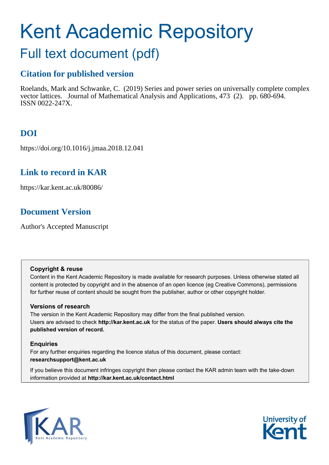# Kent Academic Repository

# Full text document (pdf)

# **Citation for published version**

Roelands, Mark and Schwanke, C. (2019) Series and power series on universally complete complex vector lattices. Journal of Mathematical Analysis and Applications, 473 (2). pp. 680-694. ISSN 0022-247X.

# **DOI**

https://doi.org/10.1016/j.jmaa.2018.12.041

## **Link to record in KAR**

https://kar.kent.ac.uk/80086/

# **Document Version**

Author's Accepted Manuscript

## **Copyright & reuse**

Content in the Kent Academic Repository is made available for research purposes. Unless otherwise stated all content is protected by copyright and in the absence of an open licence (eg Creative Commons), permissions for further reuse of content should be sought from the publisher, author or other copyright holder.

## **Versions of research**

The version in the Kent Academic Repository may differ from the final published version. Users are advised to check **http://kar.kent.ac.uk** for the status of the paper. **Users should always cite the published version of record.**

## **Enquiries**

For any further enquiries regarding the licence status of this document, please contact: **researchsupport@kent.ac.uk**

If you believe this document infringes copyright then please contact the KAR admin team with the take-down information provided at **http://kar.kent.ac.uk/contact.html**



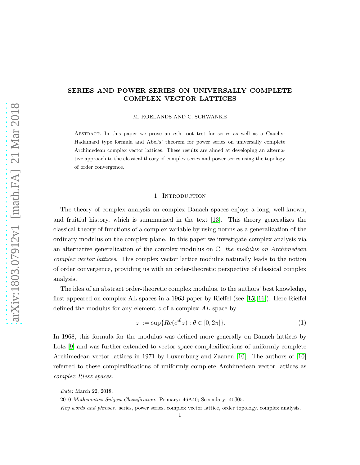## SERIES AND POWER SERIES ON UNIVERSALLY COMPLETE COMPLEX VECTOR LATTICES

M. ROELANDS AND C. SCHWANKE

Abstract. In this paper we prove an nth root test for series as well as a Cauchy-Hadamard type formula and Abel's' theorem for power series on universally complete Archimedean complex vector lattices. These results are aimed at developing an alternative approach to the classical theory of complex series and power series using the topology of order convergence.

#### 1. INTRODUCTION

The theory of complex analysis on complex Banach spaces enjoys a long, well-known, and fruitful history, which is summarized in the text [13]. This theory generalizes the classical theory of functions of a complex variable by using norms as a generalization of the ordinary modulus on the complex plane. In this paper we investigate complex analysis via an alternative generalization of the complex modulus on C: the modulus on Archimedean complex vector lattices. This complex vector lattice modulus naturally leads to the notion of order convergence, providing us with an order-theoretic perspective of classical complex analysis.

The idea of an abstract order-theoretic complex modulus, to the authors' best knowledge, first appeared on complex AL-spaces in a 1963 paper by Rieffel (see [15, 16]). Here Rieffel defined the modulus for any element z of a complex AL-space by

$$
|z| := \sup\{Re(e^{i\theta}z) : \theta \in [0, 2\pi]\}.
$$
 (1)

In 1968, this formula for the modulus was defined more generally on Banach lattices by Lotz [9] and was further extended to vector space complexifications of uniformly complete Archimedean vector lattices in 1971 by Luxemburg and Zaanen [10]. The authors of [10] referred to these complexifications of uniformly complete Archimedean vector lattices as complex Riesz spaces.

*Date*: March 22, 2018.

<sup>2010</sup> *Mathematics Subject Classification.* Primary: 46A40; Secondary: 40J05.

*Key words and phrases.* series, power series, complex vector lattice, order topology, complex analysis.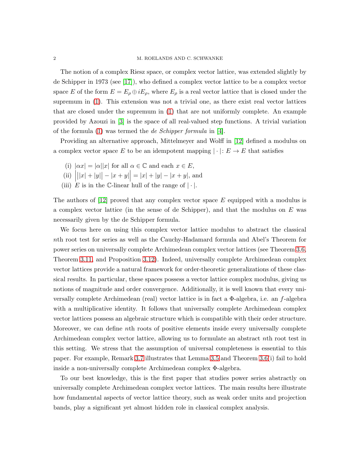The notion of a complex Riesz space, or complex vector lattice, was extended slightly by de Schipper in 1973 (see [17]), who defined a complex vector lattice to be a complex vector space E of the form  $E = E_{\rho} \oplus iE_{\rho}$ , where  $E_{\rho}$  is a real vector lattice that is closed under the supremum in (1). This extension was not a trivial one, as there exist real vector lattices that are closed under the supremum in (1) that are not uniformly complete. An example provided by Azouzi in [3] is the space of all real-valued step functions. A trivial variation of the formula  $(1)$  was termed the *de Schipper formula* in [4].

Providing an alternative approach, Mittelmeyer and Wolff in [12] defined a modulus on a complex vector space E to be an idempotent mapping  $|\cdot|: E \to E$  that satisfies

- (i)  $|\alpha x| = |\alpha| |x|$  for all  $\alpha \in \mathbb{C}$  and each  $x \in E$ ,
- $\begin{array}{c} \n\text{(ii)} \\ \n\text{(iii)} \n\end{array}$  $||x| + |y|| - |x + y|| = |x| + |y| - |x + y|$ , and
- (iii) E is in the C-linear hull of the range of  $|\cdot|$ .

The authors of  $[12]$  proved that any complex vector space E equipped with a modulus is a complex vector lattice (in the sense of de Schipper), and that the modulus on  $E$  was necessarily given by the de Schipper formula.

We focus here on using this complex vector lattice modulus to abstract the classical nth root test for series as well as the Cauchy-Hadamard formula and Abel's Theorem for power series on universally complete Archimedean complex vector lattices (see Theorem 3.6, Theorem 3.11, and Proposition 3.12). Indeed, universally complete Archimedean complex vector lattices provide a natural framework for order-theoretic generalizations of these classical results. In particular, these spaces possess a vector lattice complex modulus, giving us notions of magnitude and order convergence. Additionally, it is well known that every universally complete Archimedean (real) vector lattice is in fact a  $\Phi$ -algebra, i.e. an f-algebra with a multiplicative identity. It follows that universally complete Archimedean complex vector lattices possess an algebraic structure which is compatible with their order structure. Moreover, we can define nth roots of positive elements inside every universally complete Archimedean complex vector lattice, allowing us to formulate an abstract nth root test in this setting. We stress that the assumption of universal completeness is essential to this paper. For example, Remark 3.7 illustrates that Lemma 3.5 and Theorem 3.6(i) fail to hold inside a non-universally complete Archimedean complex Φ-algebra.

To our best knowledge, this is the first paper that studies power series abstractly on universally complete Archimedean complex vector lattices. The main results here illustrate how fundamental aspects of vector lattice theory, such as weak order units and projection bands, play a significant yet almost hidden role in classical complex analysis.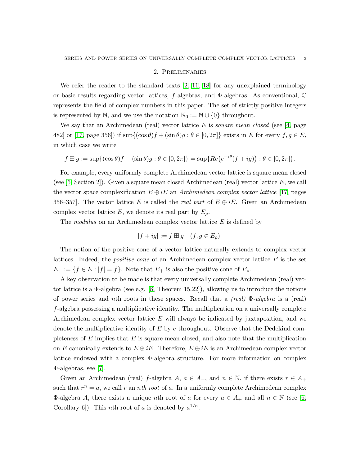### 2. Preliminaries

We refer the reader to the standard texts  $[2, 11, 18]$  for any unexplained terminology or basic results regarding vector lattices, f-algebras, and Φ-algebras. As conventional, C represents the field of complex numbers in this paper. The set of strictly positive integers is represented by N, and we use the notation  $\mathbb{N}_0 := \mathbb{N} \cup \{0\}$  throughout.

We say that an Archimedean (real) vector lattice E is square mean closed (see [4, page 482] or [17, page 356]) if  $\sup\{(\cos \theta)f + (\sin \theta)g : \theta \in [0, 2\pi]\}\)$  exists in E for every  $f, g \in E$ , in which case we write

$$
f \boxplus g := \sup\{(\cos \theta)f + (\sin \theta)g : \theta \in [0, 2\pi]\} = \sup\{Re\big(e^{-i\theta}(f + ig)\big) : \theta \in [0, 2\pi]\}.
$$

For example, every uniformly complete Archimedean vector lattice is square mean closed (see  $[5, Section 2]$ ). Given a square mean closed Archimedean (real) vector lattice  $E$ , we call the vector space complexification  $E \oplus iE$  an Archimedean complex vector lattice [17, pages 356–357. The vector lattice E is called the real part of  $E \oplus iE$ . Given an Archimedean complex vector lattice E, we denote its real part by  $E_{\rho}$ .

The *modulus* on an Archimedean complex vector lattice  $E$  is defined by

$$
|f + ig| := f \boxplus g \quad (f, g \in E_{\rho}).
$$

The notion of the positive cone of a vector lattice naturally extends to complex vector lattices. Indeed, the *positive cone* of an Archimedean complex vector lattice  $E$  is the set  $E_+ := \{f \in E : |f| = f\}.$  Note that  $E_+$  is also the positive cone of  $E_\rho$ .

A key observation to be made is that every universally complete Archimedean (real) vector lattice is a  $\Phi$ -algebra (see e.g. [8, Theorem 15.22]), allowing us to introduce the notions of power series and nth roots in these spaces. Recall that a  $-real$  Φ-algebra is a (real) f-algebra possessing a multiplicative identity. The multiplication on a universally complete Archimedean complex vector lattice E will always be indicated by juxtaposition, and we denote the multiplicative identity of  $E$  by  $e$  throughout. Observe that the Dedekind completeness of  $E$  implies that  $E$  is square mean closed, and also note that the multiplication on E canonically extends to  $E \oplus iE$ . Therefore,  $E \oplus iE$  is an Archimedean complex vector lattice endowed with a complex Φ-algebra structure. For more information on complex Φ-algebras, see [7].

Given an Archimedean (real) f-algebra  $A, a \in A_+$ , and  $n \in \mathbb{N}$ , if there exists  $r \in A_+$ such that  $r^n = a$ , we call r an nth root of a. In a uniformly complete Archimedean complex Φ-algebra A, there exists a unique nth root of a for every  $a \in A_+$  and all  $n \in \mathbb{N}$  (see [6, Corollary 6]). This *n*th root of *a* is denoted by  $a^{1/n}$ .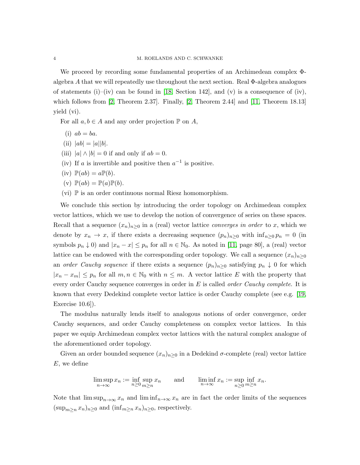We proceed by recording some fundamental properties of an Archimedean complex Φalgebra A that we will repeatedly use throughout the next section. Real Φ-algebra analogues of statements (i)–(iv) can be found in [18, Section 142], and (v) is a consequence of (iv), which follows from [2, Theorem 2.37]. Finally, [2, Theorem 2.44] and [11, Theorem 18.13] yield (vi).

For all  $a, b \in A$  and any order projection  $\mathbb P$  on  $A$ ,

- (i)  $ab = ba$ .
- (ii)  $|ab| = |a||b|.$
- (iii)  $|a| \wedge |b| = 0$  if and only if  $ab = 0$ .
- (iv) If a is invertible and positive then  $a^{-1}$  is positive.
- (iv)  $\mathbb{P}(ab) = a\mathbb{P}(b)$ .
- (v)  $\mathbb{P}(ab) = \mathbb{P}(a)\mathbb{P}(b)$ .
- (vi) P is an order continuous normal Riesz homomorphism.

We conclude this section by introducing the order topology on Archimedean complex vector lattices, which we use to develop the notion of convergence of series on these spaces. Recall that a sequence  $(x_n)_{n\geq 0}$  in a (real) vector lattice *converges in order* to x, which we denote by  $x_n \to x$ , if there exists a decreasing sequence  $(p_n)_{n\geq 0}$  with  $\inf_{n\geq 0} p_n = 0$  (in symbols  $p_n \downarrow 0$  and  $|x_n - x| \leq p_n$  for all  $n \in \mathbb{N}_0$ . As noted in [11, page 80], a (real) vector lattice can be endowed with the corresponding order topology. We call a sequence  $(x_n)_{n>0}$ an order Cauchy sequence if there exists a sequence  $(p_n)_{n>0}$  satisfying  $p_n \downarrow 0$  for which  $|x_n - x_m| \leq p_n$  for all  $m, n \in \mathbb{N}_0$  with  $n \leq m$ . A vector lattice E with the property that every order Cauchy sequence converges in order in  $E$  is called *order Cauchy complete*. It is known that every Dedekind complete vector lattice is order Cauchy complete (see e.g. [19, Exercise 10.6]).

The modulus naturally lends itself to analogous notions of order convergence, order Cauchy sequences, and order Cauchy completeness on complex vector lattices. In this paper we equip Archimedean complex vector lattices with the natural complex analogue of the aforementioned order topology.

Given an order bounded sequence  $(x_n)_{n>0}$  in a Dedekind  $\sigma$ -complete (real) vector lattice E, we define

$$
\limsup_{n \to \infty} x_n := \inf_{n \ge 0} \sup_{m \ge n} x_n \quad \text{and} \quad \liminf_{n \to \infty} x_n := \sup_{n \ge 0} \inf_{m \ge n} x_n.
$$

Note that  $\limsup_{n\to\infty}x_n$  and  $\liminf_{n\to\infty}x_n$  are in fact the order limits of the sequences  $(\sup_{m>n} x_n)_{n\geq 0}$  and  $(\inf_{m\geq n} x_n)_{n\geq 0}$ , respectively.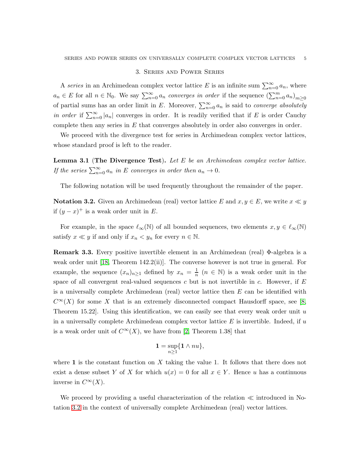#### 3. Series and Power Series

A series in an Archimedean complex vector lattice E is an infinite sum  $\sum_{n=0}^{\infty} a_n$ , where  $a_n \in E$  for all  $n \in \mathbb{N}_0$ . We say  $\sum_{n=0}^{\infty} a_n$  converges in order if the sequence  $(\sum_{n=0}^{m} a_n)_{m \geq 0}$ of partial sums has an order limit in E. Moreover,  $\sum_{n=0}^{\infty} a_n$  is said to *converge absolutely* in order if  $\sum_{n=0}^{\infty} |a_n|$  converges in order. It is readily verified that if E is order Cauchy complete then any series in  $E$  that converges absolutely in order also converges in order.

We proceed with the divergence test for series in Archimedean complex vector lattices, whose standard proof is left to the reader.

**Lemma 3.1** (The Divergence Test). Let  $E$  be an Archimedean complex vector lattice. If the series  $\sum_{n=0}^{\infty} a_n$  in E converges in order then  $a_n \to 0$ .

The following notation will be used frequently throughout the remainder of the paper.

**Notation 3.2.** Given an Archimedean (real) vector lattice E and  $x, y \in E$ , we write  $x \ll y$ if  $(y-x)^+$  is a weak order unit in E.

For example, in the space  $\ell_{\infty}(\mathbb{N})$  of all bounded sequences, two elements  $x, y \in \ell_{\infty}(\mathbb{N})$ satisfy  $x \ll y$  if and only if  $x_n < y_n$  for every  $n \in \mathbb{N}$ .

Remark 3.3. Every positive invertible element in an Archimedean (real) Φ-algebra is a weak order unit [18, Theorem 142.2(ii)]. The converse however is not true in general. For example, the sequence  $(x_n)_{n\geq 1}$  defined by  $x_n = \frac{1}{n}$  $\frac{1}{n}$   $(n \in \mathbb{N})$  is a weak order unit in the space of all convergent real-valued sequences c but is not invertible in c. However, if  $E$ is a universally complete Archimedean (real) vector lattice then  $E$  can be identified with  $C^{\infty}(X)$  for some X that is an extremely disconnected compact Hausdorff space, see [8, Theorem 15.22. Using this identification, we can easily see that every weak order unit  $u$ in a universally complete Archimedean complex vector lattice  $E$  is invertible. Indeed, if  $u$ is a weak order unit of  $C^{\infty}(X)$ , we have from [2, Theorem 1.38] that

$$
\mathbf{1}=\sup_{n\geq 1}\{\mathbf{1}\wedge nu\},
$$

where 1 is the constant function on X taking the value 1. It follows that there does not exist a dense subset Y of X for which  $u(x) = 0$  for all  $x \in Y$ . Hence u has a continuous inverse in  $C^{\infty}(X)$ .

We proceed by providing a useful characterization of the relation ≪ introduced in Notation 3.2 in the context of universally complete Archimedean (real) vector lattices.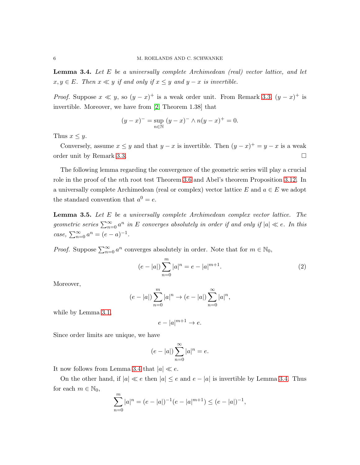**Lemma 3.4.** Let  $E$  be a universally complete Archimedean (real) vector lattice, and let  $x, y \in E$ . Then  $x \ll y$  if and only if  $x \leq y$  and  $y - x$  is invertible.

*Proof.* Suppose  $x \ll y$ , so  $(y - x)^+$  is a weak order unit. From Remark 3.3,  $(y - x)^+$  is invertible. Moreover, we have from [2, Theorem 1.38] that

$$
(y - x)^{-} = \sup_{n \in \mathbb{N}} (y - x)^{-} \wedge n(y - x)^{+} = 0.
$$

Thus  $x \leq y$ .

Conversely, assume  $x \leq y$  and that  $y - x$  is invertible. Then  $(y - x)^{+} = y - x$  is a weak order unit by Remark 3.3.

The following lemma regarding the convergence of the geometric series will play a crucial role in the proof of the nth root test Theorem 3.6 and Abel's theorem Proposition 3.12. In a universally complete Archimedean (real or complex) vector lattice E and  $a \in E$  we adopt the standard convention that  $a^0 = e$ .

Lemma 3.5. Let E be a universally complete Archimedean complex vector lattice. The geometric series  $\sum_{n=0}^{\infty} a^n$  in E converges absolutely in order if and only if  $|a| \ll e$ . In this case,  $\sum_{n=0}^{\infty} a^n = (e - a)^{-1}$ .

*Proof.* Suppose  $\sum_{n=0}^{\infty} a^n$  converges absolutely in order. Note that for  $m \in \mathbb{N}_0$ ,

$$
(e - |a|) \sum_{n=0}^{m} |a|^n = e - |a|^{m+1}.
$$
 (2)

Moreover,

$$
(e - |a|) \sum_{n=0}^{m} |a|^n \to (e - |a|) \sum_{n=0}^{\infty} |a|^n,
$$

while by Lemma 3.1,

$$
e - |a|^{m+1} \to e.
$$

Since order limits are unique, we have

$$
(e - |a|) \sum_{n=0}^{\infty} |a|^n = e.
$$

It now follows from Lemma 3.4 that  $|a| \ll e$ .

On the other hand, if  $|a| \ll e$  then  $|a| \leq e$  and  $e - |a|$  is invertible by Lemma 3.4. Thus for each  $m \in \mathbb{N}_0$ ,

$$
\sum_{n=0}^{m} |a|^n = (e - |a|)^{-1} (e - |a|^{m+1}) \le (e - |a|)^{-1},
$$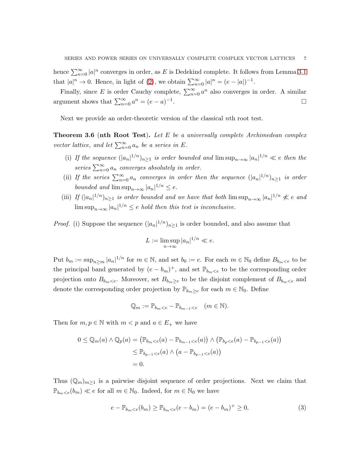hence  $\sum_{n=0}^{\infty} |a|^n$  converges in order, as E is Dedekind complete. It follows from Lemma 3.1 that  $|a|^n \to 0$ . Hence, in light of (2), we obtain  $\sum_{n=0}^{\infty} |a|^n = (e - |a|)^{-1}$ .

Finally, since E is order Cauchy complete,  $\sum_{n=0}^{\infty} a^n$  also converges in order. A similar argument shows that  $\sum_{n=0}^{\infty} a^n = (e - a)^{-1}$ . В последните поставите на селото на селото на селото на селото на селото на селото на селото на селото на се<br>Селото на селото на селото на селото на селото на селото на селото на селото на селото на селото на селото на

Next we provide an order-theoretic version of the classical nth root test.

**Theorem 3.6 (nth Root Test).** Let  $E$  be a universally complete Archimedean complex vector lattice, and let  $\sum_{n=0}^{\infty} a_n$  be a series in E.

- (i) If the sequence  $(|a_n|^{1/n})_{n\geq 1}$  is order bounded and  $\limsup_{n\to\infty} |a_n|^{1/n} \ll e$  then the series  $\sum_{n=0}^{\infty} a_n$  converges absolutely in order.
- (ii) If the series  $\sum_{n=0}^{\infty} a_n$  converges in order then the sequence  $(|a_n|^{1/n})_{n\geq 1}$  is order bounded and  $\limsup_{n\to\infty} |a_n|^{1/n} \leq e$ .
- (iii) If  $(|a_n|^{1/n})_{n\geq 1}$  is order bounded and we have that both  $\limsup_{n\to\infty} |a_n|^{1/n} \nless e$  and  $\limsup_{n\to\infty} |a_n|^{1/n} \leq e$  hold then this test is inconclusive.

*Proof.* (i) Suppose the sequence  $(|a_n|^{1/n})_{n\geq 1}$  is order bounded, and also assume that

$$
L := \limsup_{n \to \infty} |a_n|^{1/n} \ll e.
$$

Put  $b_m := \sup_{n \ge m} |a_n|^{1/n}$  for  $m \in \mathbb{N}$ , and set  $b_0 := e$ . For each  $m \in \mathbb{N}_0$  define  $B_{b_m < e}$  to be the principal band generated by  $(e - b_m)^+$ , and set  $\mathbb{P}_{b_m < e}$  to be the corresponding order projection onto  $B_{b_m\lt e}$ . Moreover, set  $B_{b_m\lt e}$  to be the disjoint complement of  $B_{b_m\lt e}$  and denote the corresponding order projection by  $\mathbb{P}_{b_m\geq e}$  for each  $m \in \mathbb{N}_0$ . Define

$$
\mathbb{Q}_m := \mathbb{P}_{b_m < e} - \mathbb{P}_{b_{m-1} < e} \quad (m \in \mathbb{N}).
$$

Then for  $m, p \in \mathbb{N}$  with  $m < p$  and  $a \in E_+$  we have

$$
0 \leq \mathbb{Q}_m(a) \wedge \mathbb{Q}_p(a) = (\mathbb{P}_{b_m < e}(a) - \mathbb{P}_{b_{m-1} < e}(a)) \wedge (\mathbb{P}_{b_p < e}(a) - \mathbb{P}_{b_{p-1} < e}(a))
$$
\n
$$
\leq \mathbb{P}_{b_{p-1} < e}(a) \wedge (a - \mathbb{P}_{b_{p-1} < e}(a))
$$
\n
$$
= 0.
$$

Thus  $(\mathbb{Q}_m)_{m>1}$  is a pairwise disjoint sequence of order projections. Next we claim that  $\mathbb{P}_{b_m < e}(b_m) \ll e$  for all  $m \in \mathbb{N}_0$ . Indeed, for  $m \in \mathbb{N}_0$  we have

$$
e - \mathbb{P}_{b_m < e}(b_m) \ge \mathbb{P}_{b_m < e}(e - b_m) = (e - b_m)^+ \ge 0,\tag{3}
$$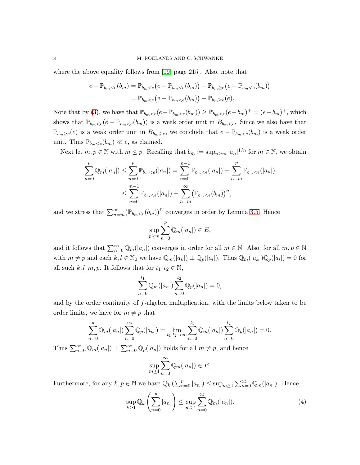where the above equality follows from [19, page 215]. Also, note that

$$
e - \mathbb{P}_{b_m < e}(b_m) = \mathbb{P}_{b_m < e}(e - \mathbb{P}_{b_m < e}(b_m)) + \mathbb{P}_{b_m \ge e}(e - \mathbb{P}_{b_m < e}(b_m))
$$
  
=  $\mathbb{P}_{b_m < e}(e - \mathbb{P}_{b_m < e}(b_m)) + \mathbb{P}_{b_m \ge e}(e).$ 

Note that by (3), we have that  $\mathbb{P}_{b_m < e}(e - \mathbb{P}_{b_m < e}(b_m)) \ge \mathbb{P}_{b_m < e}(e - b_m)^+ = (e - b_m)^+$ , which shows that  $\mathbb{P}_{b_m\lt e}(e - \mathbb{P}_{b_m\lt e}(b_m))$  is a weak order unit in  $B_{b_m\lt e}$ . Since we also have that  $\mathbb{P}_{b_m\geq e}(e)$  is a weak order unit in  $B_{b_m\geq e}$ , we conclude that  $e - \mathbb{P}_{b_m < e}(b_m)$  is a weak order unit. Thus  $\mathbb{P}_{b_m < e}(b_m) \ll e$ , as claimed.

Next let  $m, p \in \mathbb{N}$  with  $m \leq p$ . Recalling that  $b_m := \sup_{n \geq m} |a_n|^{1/n}$  for  $m \in \mathbb{N}$ , we obtain

$$
\sum_{n=0}^{p} \mathbb{Q}_m(|a_n|) \leq \sum_{n=0}^{p} \mathbb{P}_{b_m < e}(|a_n|) = \sum_{n=0}^{m-1} \mathbb{P}_{b_m < e}(|a_n|) + \sum_{n=m}^{p} \mathbb{P}_{b_m < e}(|a_n|)
$$
\n
$$
\leq \sum_{n=0}^{m-1} \mathbb{P}_{b_m < e}(|a_n|) + \sum_{n=m}^{\infty} (\mathbb{P}_{b_m < e}(b_m))^n,
$$

and we stress that  $\sum_{n=m}^{\infty} (\mathbb{P}_{b_m < e}(b_m))^n$  converges in order by Lemma 3.5. Hence

$$
\sup_{p\geq m}\sum_{n=0}^p\mathbb{Q}_m(|a_n|)\in E,
$$

and it follows that  $\sum_{n=0}^{\infty} \mathbb{Q}_m(|a_n|)$  converges in order for all  $m \in \mathbb{N}$ . Also, for all  $m, p \in \mathbb{N}$ with  $m \neq p$  and each  $k, l \in \mathbb{N}_0$  we have  $\mathbb{Q}_m(|a_k|) \perp \mathbb{Q}_p(|a_l|)$ . Thus  $\mathbb{Q}_m(|a_k|) \mathbb{Q}_p(|a_l|) = 0$  for all such  $k, l, m, p$ . It follows that for  $t_1, t_2 \in \mathbb{N}$ ,

$$
\sum_{n=0}^{t_1} \mathbb{Q}_m(|a_n|) \sum_{n=0}^{t_2} \mathbb{Q}_p(|a_n|) = 0,
$$

and by the order continuity of f-algebra multiplication, with the limits below taken to be order limits, we have for  $m \neq p$  that

$$
\sum_{n=0}^{\infty} \mathbb{Q}_m(|a_n|) \sum_{n=0}^{\infty} \mathbb{Q}_p(|a_n|) = \lim_{t_1, t_2 \to \infty} \sum_{n=0}^{t_1} \mathbb{Q}_m(|a_n|) \sum_{n=0}^{t_2} \mathbb{Q}_p(|a_n|) = 0.
$$

Thus  $\sum_{n=0}^{\infty} \mathbb{Q}_m(|a_n|) \perp \sum_{n=0}^{\infty} \mathbb{Q}_p(|a_n|)$  holds for all  $m \neq p$ , and hence

$$
\sup_{m\geq 1}\sum_{n=0}^{\infty} \mathbb{Q}_m(|a_n|) \in E.
$$

Furthermore, for any  $k, p \in \mathbb{N}$  we have  $\mathbb{Q}_k(\sum_{n=0}^p |a_n|) \leq \sup_{m \geq 1} \sum_{n=0}^{\infty} \mathbb{Q}_m(|a_n|)$ . Hence

$$
\sup_{k\geq 1} \mathbb{Q}_k\left(\sum_{n=0}^p |a_n|\right) \leq \sup_{m\geq 1} \sum_{n=0}^\infty \mathbb{Q}_m(|a_n|). \tag{4}
$$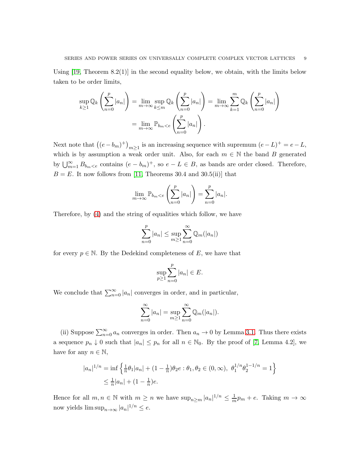Using  $[19,$  Theorem  $8.2(1)$  in the second equality below, we obtain, with the limits below taken to be order limits,

$$
\sup_{k\geq 1} \mathbb{Q}_k \left( \sum_{n=0}^p |a_n| \right) = \lim_{m \to \infty} \sup_{k \leq m} \mathbb{Q}_k \left( \sum_{n=0}^p |a_n| \right) = \lim_{m \to \infty} \sum_{k=1}^m \mathbb{Q}_k \left( \sum_{n=0}^p |a_n| \right)
$$

$$
= \lim_{m \to \infty} \mathbb{P}_{b_m < e} \left( \sum_{n=0}^p |a_n| \right).
$$

Next note that  $((e - b_m)^+)_{m \ge 1}$  is an increasing sequence with supremum  $(e - L)^+ = e - L$ , which is by assumption a weak order unit. Also, for each  $m \in \mathbb{N}$  the band B generated by  $\bigcup_{m=1}^{\infty} B_{b_m < e}$  contains  $(e - b_m)^+$ , so  $e - L \in B$ , as bands are order closed. Therefore,  $B = E$ . It now follows from [11, Theorems 30.4 and 30.5(ii)] that

$$
\lim_{m \to \infty} \mathbb{P}_{b_m < e} \left( \sum_{n=0}^p |a_n| \right) = \sum_{n=0}^p |a_n|.
$$

Therefore, by (4) and the string of equalities which follow, we have

$$
\sum_{n=0}^{p} |a_n| \le \sup_{m \ge 1} \sum_{n=0}^{\infty} \mathbb{Q}_m(|a_n|)
$$

for every  $p \in \mathbb{N}$ . By the Dedekind completeness of E, we have that

$$
\sup_{p\geq 1}\sum_{n=0}^p |a_n| \in E.
$$

We conclude that  $\sum_{n=0}^{\infty} |a_n|$  converges in order, and in particular,

$$
\sum_{n=0}^{\infty} |a_n| = \sup_{m \ge 1} \sum_{n=0}^{\infty} \mathbb{Q}_m(|a_n|).
$$

(ii) Suppose  $\sum_{n=0}^{\infty} a_n$  converges in order. Then  $a_n \to 0$  by Lemma 3.1. Thus there exists a sequence  $p_n \downarrow 0$  such that  $|a_n| \leq p_n$  for all  $n \in \mathbb{N}_0$ . By the proof of [7, Lemma 4.2], we have for any  $n \in \mathbb{N}$ ,

$$
|a_n|^{1/n} = \inf \left\{ \frac{1}{n} \theta_1 |a_n| + (1 - \frac{1}{n}) \theta_2 e : \theta_1, \theta_2 \in (0, \infty), \ \theta_1^{1/n} \theta_2^{1-1/n} = 1 \right\}
$$
  

$$
\leq \frac{1}{n} |a_n| + (1 - \frac{1}{n}) e.
$$

Hence for all  $m, n \in \mathbb{N}$  with  $m \geq n$  we have  $\sup_{n \geq m} |a_n|^{1/n} \leq \frac{1}{m}$  $\frac{1}{m}p_m + e$ . Taking  $m \to \infty$ now yields  $\limsup_{n\to\infty} |a_n|^{1/n} \leq e$ .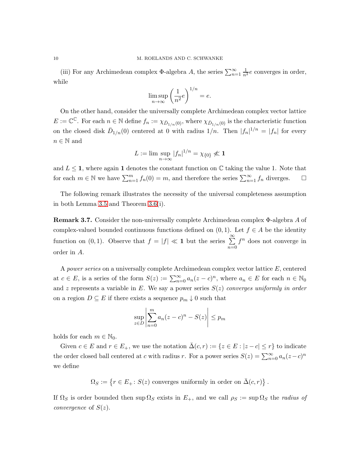(iii) For any Archimedean complex  $\Phi$ -algebra A, the series  $\sum_{n=1}^{\infty} \frac{1}{n^2} e$  converges in order, while

$$
\limsup_{n \to \infty} \left(\frac{1}{n^2}e\right)^{1/n} = e.
$$

On the other hand, consider the universally complete Archimedean complex vector lattice  $E := \mathbb{C}^{\mathbb{C}}$ . For each  $n \in \mathbb{N}$  define  $f_n := \chi_{\bar{D}_{1/n}(0)}$ , where  $\chi_{\bar{D}_{1/n}(0)}$  is the characteristic function on the closed disk  $\bar{D}_{1/n}(0)$  centered at 0 with radius  $1/n$ . Then  $|f_n|^{1/n} = |f_n|$  for every  $n \in \mathbb{N}$  and

$$
L := \limsup_{n \to \infty} |f_n|^{1/n} = \chi_{\{0\}} \nless 1
$$

and  $L \leq 1$ , where again 1 denotes the constant function on C taking the value 1. Note that for each  $m \in \mathbb{N}$  we have  $\sum_{n=1}^{m} f_n(0) = m$ , and therefore the series  $\sum_{n=1}^{\infty} f_n$  diverges.  $\square$ 

The following remark illustrates the necessity of the universal completeness assumption in both Lemma 3.5 and Theorem 3.6(i).

Remark 3.7. Consider the non-universally complete Archimedean complex Φ-algebra A of complex-valued bounded continuous functions defined on  $(0, 1)$ . Let  $f \in A$  be the identity function on (0, 1). Observe that  $f = |f| \ll 1$  but the series  $\sum_{n=1}^{\infty}$  $n=0$  $f^n$  does not converge in order in A.

A power series on a universally complete Archimedean complex vector lattice E, centered at  $c \in E$ , is a series of the form  $S(z) := \sum_{n=0}^{\infty} a_n(z-c)^n$ , where  $a_n \in E$  for each  $n \in \mathbb{N}_0$ and z represents a variable in E. We say a power series  $S(z)$  converges uniformly in order on a region  $D \subseteq E$  if there exists a sequence  $p_m \downarrow 0$  such that

$$
\sup_{z \in D} \left| \sum_{n=0}^{m} a_n (z - c)^n - S(z) \right| \le p_m
$$

holds for each  $m \in \mathbb{N}_0$ .

Given  $c \in E$  and  $r \in E_+$ , we use the notation  $\bar{\Delta}(c, r) := \{z \in E : |z - c| \leq r\}$  to indicate the order closed ball centered at c with radius r. For a power series  $S(z) = \sum_{n=0}^{\infty} a_n(z-c)^n$ we define

 $\Omega_S := \{r \in E_+ : S(z) \text{ converges uniformly in order on } \bar{\Delta}(c, r)\}.$ 

If  $\Omega_S$  is order bounded then sup  $\Omega_S$  exists in  $E_+$ , and we call  $\rho_S := \sup \Omega_S$  the radius of *convergence* of  $S(z)$ .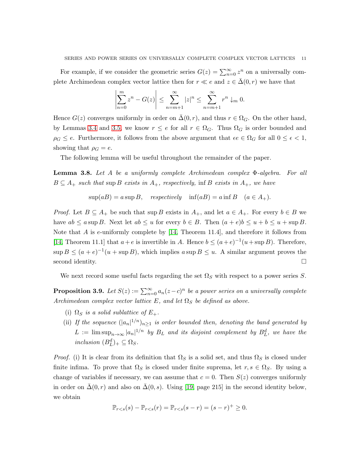For example, if we consider the geometric series  $G(z) = \sum_{n=0}^{\infty} z^n$  on a universally complete Archimedean complex vector lattice then for  $r \ll e$  and  $z \in \bar{\Delta}(0, r)$  we have that

$$
\left| \sum_{n=0}^{m} z^{n} - G(z) \right| \leq \sum_{n=m+1}^{\infty} |z|^{n} \leq \sum_{n=m+1}^{\infty} r^{n} \downarrow_{m} 0.
$$

Hence  $G(z)$  converges uniformly in order on  $\overline{\Delta}(0, r)$ , and thus  $r \in \Omega_G$ . On the other hand, by Lemmas 3.4 and 3.5, we know  $r \leq e$  for all  $r \in \Omega_G$ . Thus  $\Omega_G$  is order bounded and  $\rho_G \leq e$ . Furthermore, it follows from the above argument that  $\epsilon e \in \Omega_G$  for all  $0 \leq \epsilon < 1$ , showing that  $\rho_G = e$ .

The following lemma will be useful throughout the remainder of the paper.

**Lemma 3.8.** Let A be a uniformly complete Archimedean complex  $\Phi$ -algebra. For all  $B \subseteq A_+$  such that sup B exists in  $A_+$ , respectively, inf B exists in  $A_+$ , we have

$$
\sup(aB) = a \sup B, \quad respectively \quad \inf(aB) = a \inf B \quad (a \in A_+).
$$

*Proof.* Let  $B \subseteq A_+$  be such that sup B exists in  $A_+$ , and let  $a \in A_+$ . For every  $b \in B$  we have  $ab \le a \sup B$ . Next let  $ab \le u$  for every  $b \in B$ . Then  $(a + e)b \le u + b \le u + \sup B$ . Note that  $A$  is e-uniformly complete by  $[14,$  Theorem 11.4], and therefore it follows from [14, Theorem 11.1] that  $a+e$  is invertible in A. Hence  $b \leq (a+e)^{-1}(u+\sup B)$ . Therefore,  $\sup B \leq (a + e)^{-1}(u + \sup B)$ , which implies  $a \sup B \leq u$ . A similar argument proves the second identity.  $\Box$ 

We next record some useful facts regarding the set  $\Omega_S$  with respect to a power series S.

**Proposition 3.9.** Let  $S(z) := \sum_{n=0}^{\infty} a_n(z-c)^n$  be a power series on a universally complete Archimedean complex vector lattice E, and let  $\Omega_S$  be defined as above.

- (i)  $\Omega_S$  is a solid sublattice of  $E_+$ .
- (ii) If the sequence  $(|a_n|^{1/n})_{n\geq 1}$  is order bounded then, denoting the band generated by  $L := \limsup_{n \to \infty} |a_n|^{1/n}$  by  $B_L$  and its disjoint complement by  $B_L^d$ , we have the inclusion  $(B_L^d)_+ \subseteq \Omega_S$ .

*Proof.* (i) It is clear from its definition that  $\Omega_S$  is a solid set, and thus  $\Omega_S$  is closed under finite infima. To prove that  $\Omega_S$  is closed under finite suprema, let  $r, s \in \Omega_S$ . By using a change of variables if necessary, we can assume that  $c = 0$ . Then  $S(z)$  converges uniformly in order on  $\Delta(0, r)$  and also on  $\Delta(0, s)$ . Using [19, page 215] in the second identity below, we obtain

$$
\mathbb{P}_{r < s}(s) - \mathbb{P}_{r < s}(r) = \mathbb{P}_{r < s}(s - r) = (s - r)^{+} \geq 0.
$$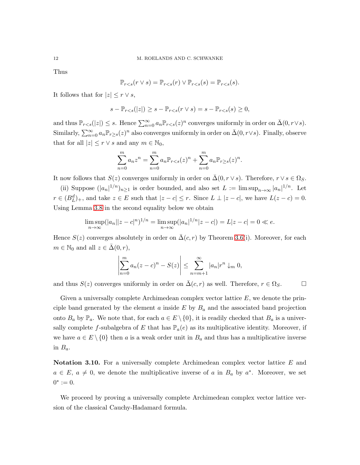Thus

$$
\mathbb{P}_{r
$$

It follows that for  $|z| \leq r \vee s$ ,

$$
s - \mathbb{P}_{r < s}(|z|) \ge s - \mathbb{P}_{r < s}(r \vee s) = s - \mathbb{P}_{r < s}(s) \ge 0,
$$

and thus  $\mathbb{P}_{r\leq s}(|z|) \leq s$ . Hence  $\sum_{n=0}^{\infty} a_n \mathbb{P}_{r\leq s}(z)^n$  converges uniformly in order on  $\bar{\Delta}(0, r \vee s)$ . Similarly,  $\sum_{n=0}^{\infty} a_n \mathbb{P}_{r\geq s}(z)^n$  also converges uniformly in order on  $\bar{\Delta}(0, r\vee s)$ . Finally, observe that for all  $|z| \leq r \vee s$  and any  $m \in \mathbb{N}_0$ ,

$$
\sum_{n=0}^{m} a_n z^n = \sum_{n=0}^{m} a_n \mathbb{P}_{r < s}(z)^n + \sum_{n=0}^{m} a_n \mathbb{P}_{r \ge s}(z)^n.
$$

It now follows that  $S(z)$  converges uniformly in order on  $\overline{\Delta}(0, r \vee s)$ . Therefore,  $r \vee s \in \Omega_S$ .

(ii) Suppose  $(|a_n|^{1/n})_{n\geq 1}$  is order bounded, and also set  $L := \limsup_{n\to\infty} |a_n|^{1/n}$ . Let  $r \in (B_L^d)_+$ , and take  $z \in E$  such that  $|z - c| \leq r$ . Since  $L \perp |z - c|$ , we have  $L(z - c) = 0$ . Using Lemma 3.8 in the second equality below we obtain

$$
\limsup_{n \to \infty} (|a_n||z - c|^n)^{1/n} = \limsup_{n \to \infty} (|a_n|^{1/n}|z - c|) = L|z - c| = 0 \ll e.
$$

Hence  $S(z)$  converges absolutely in order on  $\bar{\Delta}(c, r)$  by Theorem 3.6(i). Moreover, for each  $m \in \mathbb{N}_0$  and all  $z \in \bar{\Delta}(0, r)$ ,

$$
\left|\sum_{n=0}^{m} a_n (z-c)^n - S(z)\right| \leq \sum_{n=m+1}^{\infty} |a_n| r^n \downarrow_m 0,
$$

and thus  $S(z)$  converges uniformly in order on  $\bar{\Delta}(c, r)$  as well. Therefore,  $r \in \Omega_S$ .

Given a universally complete Archimedean complex vector lattice  $E$ , we denote the principle band generated by the element  $a$  inside  $E$  by  $B_a$  and the associated band projection onto  $B_a$  by  $\mathbb{P}_a$ . We note that, for each  $a \in E \setminus \{0\}$ , it is readily checked that  $B_a$  is a universally complete f-subalgebra of E that has  $\mathbb{P}_a(e)$  as its multiplicative identity. Moreover, if we have  $a \in E \setminus \{0\}$  then a is a weak order unit in  $B_a$  and thus has a multiplicative inverse in  $B_a$ .

Notation 3.10. For a universally complete Archimedean complex vector lattice E and  $a \in E$ ,  $a \neq 0$ , we denote the multiplicative inverse of a in  $B_a$  by  $a^*$ . Moreover, we set  $0^* := 0.$ 

We proceed by proving a universally complete Archimedean complex vector lattice version of the classical Cauchy-Hadamard formula.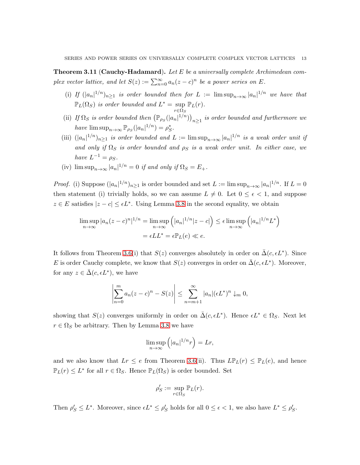**Theorem 3.11 (Cauchy-Hadamard).** Let E be a universally complete Archimedean complex vector lattice, and let  $S(z) := \sum_{n=0}^{\infty} a_n(z-c)^n$  be a power series on E.

- (i) If  $(|a_n|^{1/n})_{n\geq 1}$  is order bounded then for  $L := \limsup_{n\to\infty} |a_n|^{1/n}$  we have that  $\mathbb{P}_L(\Omega_S)$  is order bounded and  $L^* = \sup$  $r{\in}\Omega_S$  $\mathbb{P}_L(r)$ .
- (ii) If  $\Omega_S$  is order bounded then  $(\mathbb{P}_{\rho_S}(|a_n|^{1/n}))_{n\geq 1}$  is order bounded and furthermore we have  $\limsup_{n\to\infty} \mathbb{P}_{\rho_S}(|a_n|^{1/n}) = \rho_S^*$ .
- (iii)  $(|a_n|^{1/n})_{n\geq 1}$  is order bounded and  $L := \limsup_{n\to\infty} |a_n|^{1/n}$  is a weak order unit if and only if  $\Omega_S$  is order bounded and  $\rho_S$  is a weak order unit. In either case, we have  $L^{-1} = \rho_S$ .
- (iv)  $\limsup_{n\to\infty} |a_n|^{1/n} = 0$  if and only if  $\Omega_S = E_+$ .

*Proof.* (i) Suppose  $(|a_n|^{1/n})_{n\geq 1}$  is order bounded and set  $L := \limsup_{n\to\infty} |a_n|^{1/n}$ . If  $L = 0$ then statement (i) trivially holds, so we can assume  $L \neq 0$ . Let  $0 \leq \epsilon < 1$ , and suppose  $z \in E$  satisfies  $|z - c| \leq \epsilon L^*$ . Using Lemma 3.8 in the second equality, we obtain

$$
\limsup_{n \to \infty} |a_n(z - c)^n|^{1/n} = \limsup_{n \to \infty} (|a_n|^{1/n} |z - c|) \le \epsilon \limsup_{n \to \infty} (|a_n|^{1/n} L^*)
$$

$$
= \epsilon L L^* = \epsilon \mathbb{P}_L(e) \ll e.
$$

It follows from Theorem 3.6(i) that  $S(z)$  converges absolutely in order on  $\bar{\Delta}(c, \epsilon L^*)$ . Since E is order Cauchy complete, we know that  $S(z)$  converges in order on  $\bar{\Delta}(c, \epsilon L^*)$ . Moreover, for any  $z \in \bar{\Delta}(c, \epsilon L^*)$ , we have

$$
\left|\sum_{n=0}^{m} a_n(z-c)^n - S(z)\right| \leq \sum_{n=m+1}^{\infty} |a_n| (\epsilon L^*)^n \downarrow_m 0,
$$

showing that  $S(z)$  converges uniformly in order on  $\bar{\Delta}(c, \epsilon L^*)$ . Hence  $\epsilon L^* \in \Omega_S$ . Next let  $r \in \Omega_S$  be arbitrary. Then by Lemma 3.8 we have

$$
\limsup_{n \to \infty} \left( |a_n|^{1/n} r \right) = Lr,
$$

and we also know that  $Lr \leq e$  from Theorem 3.6(ii). Thus  $L\mathbb{P}_L(r) \leq \mathbb{P}_L(e)$ , and hence  $\mathbb{P}_L(r) \leq L^*$  for all  $r \in \Omega_S$ . Hence  $\mathbb{P}_L(\Omega_S)$  is order bounded. Set

$$
\rho'_S := \sup_{r \in \Omega_S} \mathbb{P}_L(r).
$$

Then  $\rho'_S \leq L^*$ . Moreover, since  $\epsilon L^* \leq \rho'_S$  holds for all  $0 \leq \epsilon < 1$ , we also have  $L^* \leq \rho'_S$ .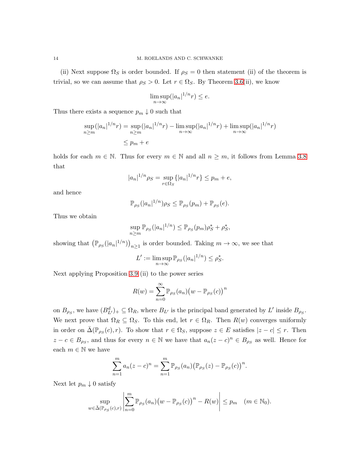(ii) Next suppose  $\Omega_S$  is order bounded. If  $\rho_S = 0$  then statement (ii) of the theorem is trivial, so we can assume that  $\rho_S > 0$ . Let  $r \in \Omega_S$ . By Theorem 3.6(ii), we know

$$
\limsup_{n \to \infty} (|a_n|^{1/n} r) \le e.
$$

Thus there exists a sequence  $p_m \downarrow 0$  such that

$$
\sup_{n \ge m} (|a_n|^{1/n} r) = \sup_{n \ge m} (|a_n|^{1/n} r) - \lim_{n \to \infty} (|a_n|^{1/n} r) + \lim_{n \to \infty} (|a_n|^{1/n} r)
$$
  

$$
\le p_m + e
$$

holds for each  $m \in \mathbb{N}$ . Thus for every  $m \in \mathbb{N}$  and all  $n \geq m$ , it follows from Lemma 3.8 that

$$
|a_n|^{1/n} \rho_S = \sup_{r \in \Omega_S} \{|a_n|^{1/n} r\} \le p_m + e,
$$

and hence

$$
\mathbb{P}_{\rho_S}(|a_n|^{1/n})\rho_S \leq \mathbb{P}_{\rho_S}(p_m) + \mathbb{P}_{\rho_S}(e).
$$

Thus we obtain

$$
\sup_{n\geq m}\mathbb{P}_{\rho_S}(|a_n|^{1/n})\leq \mathbb{P}_{\rho_S}(p_m)\rho_S^*+\rho_S^*,
$$

showing that  $(\mathbb{P}_{\rho_S}(|a_n|^{1/n}))_{n\geq 1}$  is order bounded. Taking  $m \to \infty$ , we see that

$$
L' := \limsup_{n \to \infty} \mathbb{P}_{\rho_S}(|a_n|^{1/n}) \le \rho_S^*.
$$

Next applying Proposition 3.9 (ii) to the power series

$$
R(w) = \sum_{n=0}^{\infty} \mathbb{P}_{\rho_S}(a_n) (w - \mathbb{P}_{\rho_S}(c))^n
$$

on  $B_{\rho_S}$ , we have  $(B_{L'}^d)_{+} \subseteq \Omega_R$ , where  $B_{L'}$  is the principal band generated by L' inside  $B_{\rho_S}$ . We next prove that  $\Omega_R \subseteq \Omega_S$ . To this end, let  $r \in \Omega_R$ . Then  $R(w)$  converges uniformly in order on  $\bar{\Delta}(\mathbb{P}_{\rho_S}(c), r)$ . To show that  $r \in \Omega_S$ , suppose  $z \in E$  satisfies  $|z - c| \leq r$ . Then  $z - c \in B_{\rho_S}$ , and thus for every  $n \in \mathbb{N}$  we have that  $a_n(z - c)^n \in B_{\rho_S}$  as well. Hence for each  $m \in \mathbb{N}$  we have

$$
\sum_{n=1}^{m} a_n (z - c)^n = \sum_{n=1}^{m} \mathbb{P}_{\rho_S}(a_n) (\mathbb{P}_{\rho_S}(z) - \mathbb{P}_{\rho_S}(c))^n.
$$

Next let  $p_m \downarrow 0$  satisfy

$$
\sup_{w \in \bar{\Delta}(\mathbb{P}_{\rho_S}(c), r)} \left| \sum_{n=0}^m \mathbb{P}_{\rho_S}(a_n) (w - \mathbb{P}_{\rho_S}(c))^n - R(w) \right| \leq p_m \quad (m \in \mathbb{N}_0).
$$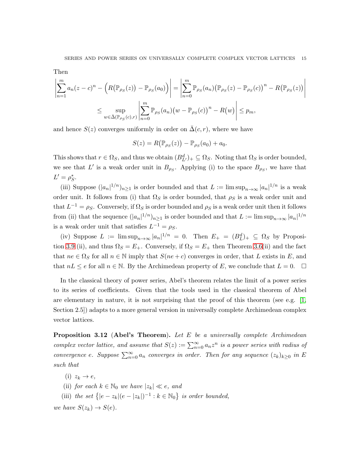Then

$$
\left| \sum_{n=1}^{m} a_n (z - c)^n - \left( R(\mathbb{P}_{\rho_S}(z)) - \mathbb{P}_{\rho_S}(a_0) \right) \right| = \left| \sum_{n=0}^{m} \mathbb{P}_{\rho_S}(a_n) (\mathbb{P}_{\rho_S}(z) - \mathbb{P}_{\rho_S}(c))^n - R(\mathbb{P}_{\rho_S}(z)) \right|
$$
  

$$
\leq \sup_{w \in \bar{\Delta}(\mathbb{P}_{\rho_S}(c), r)} \left| \sum_{n=0}^{m} \mathbb{P}_{\rho_S}(a_n) (w - \mathbb{P}_{\rho_S}(c))^n - R(w) \right| \leq p_m,
$$

and hence  $S(z)$  converges uniformly in order on  $\bar{\Delta}(c, r)$ , where we have

$$
S(z) = R(\mathbb{P}_{\rho_S}(z)) - \mathbb{P}_{\rho_S}(a_0) + a_0.
$$

This shows that  $r \in \Omega_S$ , and thus we obtain  $(B_{L'}^d)_+ \subseteq \Omega_S$ . Noting that  $\Omega_S$  is order bounded, we see that L' is a weak order unit in  $B_{\rho_S}$ . Applying (i) to the space  $B_{\rho_S}$ , we have that  $L' = \rho_S^*$ .

(iii) Suppose  $(|a_n|^{1/n})_{n\geq 1}$  is order bounded and that  $L := \limsup_{n\to\infty} |a_n|^{1/n}$  is a weak order unit. It follows from (i) that  $\Omega_S$  is order bounded, that  $\rho_S$  is a weak order unit and that  $L^{-1} = \rho_S$ . Conversely, if  $\Omega_S$  is order bounded and  $\rho_S$  is a weak order unit then it follows from (ii) that the sequence  $(|a_n|^{1/n})_{n\geq 1}$  is order bounded and that  $L := \limsup_{n\to\infty} |a_n|^{1/n}$ is a weak order unit that satisfies  $L^{-1} = \rho_S$ .

(iv) Suppose  $L := \limsup_{n \to \infty} |a_n|^{1/n} = 0$ . Then  $E_+ = (B_L^d)_+ \subseteq \Omega_S$  by Proposition 3.9 (ii), and thus  $\Omega_S = E_+$ . Conversely, if  $\Omega_S = E_+$  then Theorem 3.6(ii) and the fact that  $ne \in \Omega_S$  for all  $n \in \mathbb{N}$  imply that  $S(ne + c)$  converges in order, that L exists in E, and that  $nL \leq e$  for all  $n \in \mathbb{N}$ . By the Archimedean property of E, we conclude that  $L = 0$ .

In the classical theory of power series, Abel's theorem relates the limit of a power series to its series of coefficients. Given that the tools used in the classical theorem of Abel are elementary in nature, it is not surprising that the proof of this theorem (see e.g.  $[1,$ Section 2.5]) adapts to a more general version in universally complete Archimedean complex vector lattices.

**Proposition 3.12 (Abel's Theorem).** Let  $E$  be a universally complete Archimedean complex vector lattice, and assume that  $S(z) := \sum_{n=0}^{\infty} a_n z^n$  is a power series with radius of convergence e. Suppose  $\sum_{n=0}^{\infty} a_n$  converges in order. Then for any sequence  $(z_k)_{k\geq 0}$  in E such that

- (i)  $z_k \rightarrow e$ ,
- (ii) for each  $k \in \mathbb{N}_0$  we have  $|z_k| \ll e$ , and
- (iii) the set  $\{|e-z_k|(e-|z_k|)^{-1}:k\in\mathbb{N}_0\}$  is order bounded,

we have  $S(z_k) \to S(e)$ .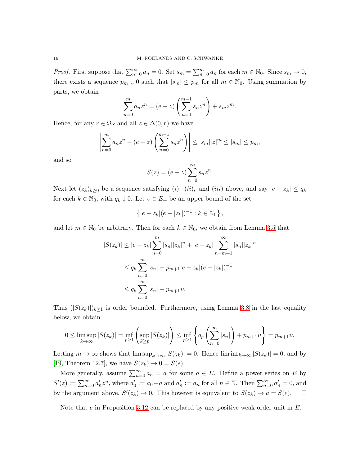*Proof.* First suppose that  $\sum_{n=0}^{\infty} a_n = 0$ . Set  $s_m = \sum_{n=0}^{m} a_n$  for each  $m \in \mathbb{N}_0$ . Since  $s_m \to 0$ , there exists a sequence  $p_m \downarrow 0$  such that  $|s_m| \leq p_m$  for all  $m \in \mathbb{N}_0$ . Using summation by parts, we obtain

$$
\sum_{n=0}^{m} a_n z^n = (e - z) \left( \sum_{n=0}^{m-1} s_n z^n \right) + s_m z^m.
$$

Hence, for any  $r \in \Omega_S$  and all  $z \in \Delta(0, r)$  we have

$$
\left| \sum_{n=0}^{m} a_n z^n - (e - z) \left( \sum_{n=0}^{m-1} s_n z^n \right) \right| \le |s_m| |z|^m \le |s_m| \le p_m,
$$

and so

$$
S(z) = (e - z) \sum_{n=0}^{\infty} s_n z^n.
$$

Next let  $(z_k)_{k\geq 0}$  be a sequence satisfying  $(i)$ ,  $(ii)$ , and  $(iii)$  above, and say  $|e-z_k| \leq q_k$ for each  $k \in \mathbb{N}_0$ , with  $q_k \downarrow 0$ . Let  $v \in E_+$  be an upper bound of the set

$$
\{|e - z_k|(e - |z_k|)^{-1} : k \in \mathbb{N}_0\},\
$$

and let  $m \in \mathbb{N}_0$  be arbitrary. Then for each  $k \in \mathbb{N}_0$ , we obtain from Lemma 3.5 that

$$
|S(z_k)| \le |e - z_k| \sum_{n=0}^m |s_n||z_k|^n + |e - z_k| \sum_{n=m+1}^\infty |s_n||z_k|^n
$$
  

$$
\le q_k \sum_{n=0}^m |s_n| + p_{m+1}|e - z_k|(e - |z_k|)^{-1}
$$
  

$$
\le q_k \sum_{n=0}^m |s_n| + p_{m+1}v.
$$

Thus  $(|S(z_k)|)_{k\geq 1}$  is order bounded. Furthermore, using Lemma 3.8 in the last equality below, we obtain

$$
0 \le \limsup_{k \to \infty} |S(z_k)| = \inf_{p \ge 1} \left( \sup_{k \ge p} |S(z_k)| \right) \le \inf_{p \ge 1} \left\{ q_p \left( \sum_{n=0}^m |s_n| \right) + p_{m+1} v \right\} = p_{m+1} v.
$$

Letting  $m \to \infty$  shows that  $\limsup_{k \to \infty} |S(z_k)| = 0$ . Hence  $\liminf_{k \to \infty} |S(z_k)| = 0$ , and by [19, Theorem 12.7], we have  $S(z_k) \rightarrow 0 = S(e)$ .

More generally, assume  $\sum_{n=0}^{\infty} a_n = a$  for some  $a \in E$ . Define a power series on E by  $S'(z) := \sum_{n=0}^{\infty} a'_n z^n$ , where  $a'_0 := a_0 - a$  and  $a'_n := a_n$  for all  $n \in \mathbb{N}$ . Then  $\sum_{n=0}^{\infty} a'_n = 0$ , and by the argument above,  $S'(z_k) \to 0$ . This however is equivalent to  $S(z_k) \to a = S(e)$ .  $\Box$ 

Note that  $e$  in Proposition 3.12 can be replaced by any positive weak order unit in  $E$ .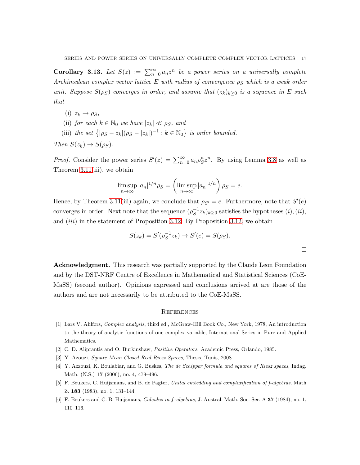**Corollary 3.13.** Let  $S(z) := \sum_{n=0}^{\infty} a_n z^n$  be a power series on a universally complete Archimedean complex vector lattice E with radius of convergence  $\rho_S$  which is a weak order unit. Suppose  $S(\rho_S)$  converges in order, and assume that  $(z_k)_{k>0}$  is a sequence in E such that

- (i)  $z_k \rightarrow \rho_S$ ,
- (ii) for each  $k \in \mathbb{N}_0$  we have  $|z_k| \ll \rho_S$ , and
- (iii) the set  $\{|\rho_S z_k|(\rho_S |z_k|)^{-1} : k \in \mathbb{N}_0\}$  is order bounded.

Then  $S(z_k) \rightarrow S(\rho_S)$ .

*Proof.* Consider the power series  $S'(z) = \sum_{n=0}^{\infty} a_n \rho_S^n z^n$ . By using Lemma 3.8 as well as Theorem 3.11(iii), we obtain

$$
\limsup_{n \to \infty} |a_n|^{1/n} \rho_S = \left( \limsup_{n \to \infty} |a_n|^{1/n} \right) \rho_S = e.
$$

Hence, by Theorem 3.11(iii) again, we conclude that  $\rho_{S'} = e$ . Furthermore, note that  $S'(e)$ converges in order. Next note that the sequence  $(\rho_S^{-1})$  $(S^{-1}z_k)_{k\geq 0}$  satisfies the hypotheses  $(i), (ii),$ and  $(iii)$  in the statement of Proposition 3.12. By Proposition 3.12, we obtain

$$
S(z_k) = S'(\rho_S^{-1} z_k) \to S'(e) = S(\rho_S).
$$

Acknowledgment. This research was partially supported by the Claude Leon Foundation and by the DST-NRF Centre of Excellence in Mathematical and Statistical Sciences (CoE-MaSS) (second author). Opinions expressed and conclusions arrived at are those of the authors and are not necessarily to be attributed to the CoE-MaSS.

#### **REFERENCES**

- [1] Lars V. Ahlfors, *Complex analysis*, third ed., McGraw-Hill Book Co., New York, 1978, An introduction to the theory of analytic functions of one complex variable, International Series in Pure and Applied Mathematics.
- [2] C. D. Aliprantis and O. Burkinshaw, *Positive Operators*, Academic Press, Orlando, 1985.
- [3] Y. Azouzi, *Square Mean Closed Real Riesz Spaces*, Thesis, Tunis, 2008.
- [4] Y. Azzouzi, K. Boulabiar, and G. Buskes, *The de Schipper formula and squares of Riesz spaces*, Indag. Math. (N.S.) 17 (2006), no. 4, 479–496.
- [5] F. Beukers, C. Huijsmans, and B. de Pagter, *Unital embedding and complexification of f-algebras*, Math Z. 183 (1983), no. 1, 131–144.
- [6] F. Beukers and C. B. Huijsmans, *Calculus in* f*-algebras*, J. Austral. Math. Soc. Ser. A 37 (1984), no. 1, 110–116.